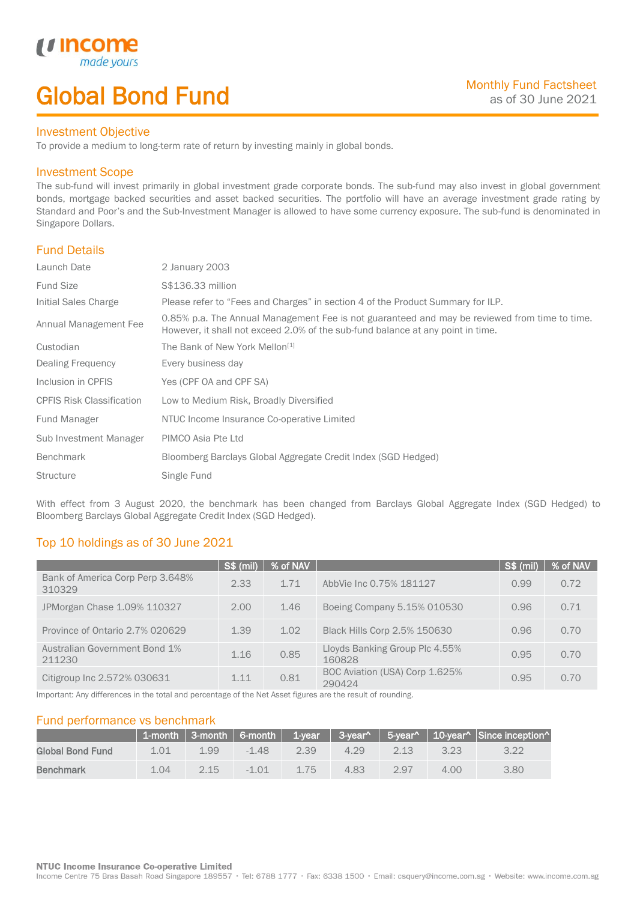# Global Bond Fund

### Investment Objective

made<sub>y</sub>

*u* incom

I

To provide a medium to long-term rate of return by investing mainly in global bonds.

## Investment Scope

The sub-fund will invest primarily in global investment grade corporate bonds. The sub-fund may also invest in global government bonds, mortgage backed securities and asset backed securities. The portfolio will have an average investment grade rating by Standard and Poor's and the Sub-Investment Manager is allowed to have some currency exposure. The sub-fund is denominated in Singapore Dollars.

# Fund Details

| Launch Date                      | 2 January 2003                                                                                                                                                                   |
|----------------------------------|----------------------------------------------------------------------------------------------------------------------------------------------------------------------------------|
| <b>Fund Size</b>                 | S\$136.33 million                                                                                                                                                                |
| Initial Sales Charge             | Please refer to "Fees and Charges" in section 4 of the Product Summary for ILP.                                                                                                  |
| Annual Management Fee            | 0.85% p.a. The Annual Management Fee is not guaranteed and may be reviewed from time to time.<br>However, it shall not exceed 2.0% of the sub-fund balance at any point in time. |
| Custodian                        | The Bank of New York Mellon <sup>[1]</sup>                                                                                                                                       |
| Dealing Frequency                | Every business day                                                                                                                                                               |
| Inclusion in CPFIS               | Yes (CPF OA and CPF SA)                                                                                                                                                          |
| <b>CPFIS Risk Classification</b> | Low to Medium Risk, Broadly Diversified                                                                                                                                          |
| <b>Fund Manager</b>              | NTUC Income Insurance Co-operative Limited                                                                                                                                       |
| Sub Investment Manager           | PIMCO Asia Pte Ltd                                                                                                                                                               |
| <b>Benchmark</b>                 | Bloomberg Barclays Global Aggregate Credit Index (SGD Hedged)                                                                                                                    |
| <b>Structure</b>                 | Single Fund                                                                                                                                                                      |

With effect from 3 August 2020, the benchmark has been changed from Barclays Global Aggregate Index (SGD Hedged) to Bloomberg Barclays Global Aggregate Credit Index (SGD Hedged).

# Top 10 holdings as of 30 June 2021

|                                            | <b>S\$ (mil)</b> | % of NAV |                                          | S\$ (mil) | % of NAV |
|--------------------------------------------|------------------|----------|------------------------------------------|-----------|----------|
| Bank of America Corp Perp 3.648%<br>310329 | 2.33             | 1.71     | AbbVie Inc 0.75% 181127                  | 0.99      | 0.72     |
| JPMorgan Chase 1.09% 110327                | 2.00             | 1.46     | Boeing Company 5.15% 010530              | 0.96      | 0.71     |
| Province of Ontario 2.7% 020629            | 1.39             | 1.02     | Black Hills Corp 2.5% 150630             | 0.96      | 0.70     |
| Australian Government Bond 1%<br>211230    | 1.16             | 0.85     | Lloyds Banking Group Plc 4.55%<br>160828 | 0.95      | 0.70     |
| Citigroup Inc 2.572% 030631                | 1 1 1            | 0.81     | BOC Aviation (USA) Corp 1.625%<br>290424 | 0.95      | 0.70     |

Important: Any differences in the total and percentage of the Net Asset figures are the result of rounding.

# Fund performance vs benchmark

|                  |      |      |         |      |      |      |      | 1-month 3-month 6-month 1-year 3-year^ 5-year^ 10-year^ Since inception |
|------------------|------|------|---------|------|------|------|------|-------------------------------------------------------------------------|
| Global Bond Fund | 1.01 | 199  | $-1.48$ | 2.39 | 4.29 | 2.13 | 3.23 | 3.22                                                                    |
| <b>Benchmark</b> | 1.04 | 2.15 | $-1.01$ | 175  | 4.83 | 2.97 | 4.00 | 3.80                                                                    |